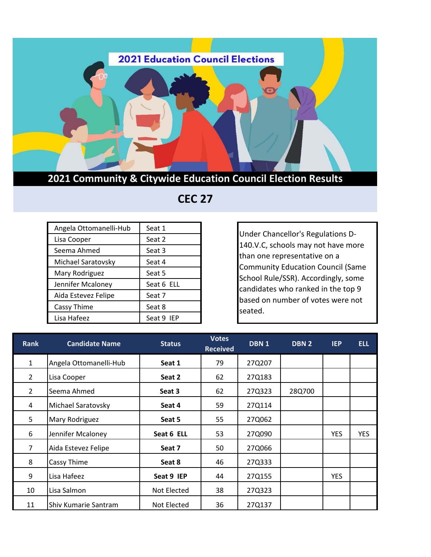

## **2021 Community & Citywide Education Council Election Results**

| Angela Ottomanelli-Hub | Seat 1     |
|------------------------|------------|
| Lisa Cooper            | Seat 2     |
| Seema Ahmed            | Seat 3     |
| Michael Saratovsky     | Seat 4     |
| Mary Rodriguez         | Seat 5     |
| Jennifer Mcaloney      | Seat 6 ELL |
| Aida Estevez Felipe    | Seat 7     |
| Cassy Thime            | Seat 8     |
| Lisa Hafeez            | Seat 9 IEP |

## **CEC 27**

Under Chancellor's Regulations D-140.V.C, schools may not have more than one representative on a Community Education Council (Same School Rule/SSR). Accordingly, some candidates who ranked in the top 9 based on number of votes were not seated.

| <b>Rank</b>    | <b>Candidate Name</b>  | <b>Status</b> | <b>Votes</b><br><b>Received</b> | DBN <sub>1</sub> | DBN 2  | <b>IEP</b> | <b>ELL</b> |
|----------------|------------------------|---------------|---------------------------------|------------------|--------|------------|------------|
| $\mathbf{1}$   | Angela Ottomanelli-Hub | Seat 1        | 79                              | 27Q207           |        |            |            |
| $\overline{2}$ | Lisa Cooper            | Seat 2        | 62                              | 27Q183           |        |            |            |
| $\overline{2}$ | Seema Ahmed            | Seat 3        | 62                              | 27Q323           | 28Q700 |            |            |
| 4              | Michael Saratovsky     | Seat 4        | 59                              | 27Q114           |        |            |            |
| 5              | Mary Rodriguez         | Seat 5        | 55                              | 27Q062           |        |            |            |
| 6              | Jennifer Mcaloney      | Seat 6 ELL    | 53                              | 27Q090           |        | <b>YES</b> | <b>YES</b> |
| $\overline{7}$ | Aida Estevez Felipe    | Seat 7        | 50                              | 27Q066           |        |            |            |
| 8              | Cassy Thime            | Seat 8        | 46                              | 27Q333           |        |            |            |
| 9              | Lisa Hafeez            | Seat 9 IEP    | 44                              | 27Q155           |        | <b>YES</b> |            |
| 10             | Lisa Salmon            | Not Elected   | 38                              | 27Q323           |        |            |            |
| 11             | Shiv Kumarie Santram   | Not Elected   | 36                              | 27Q137           |        |            |            |